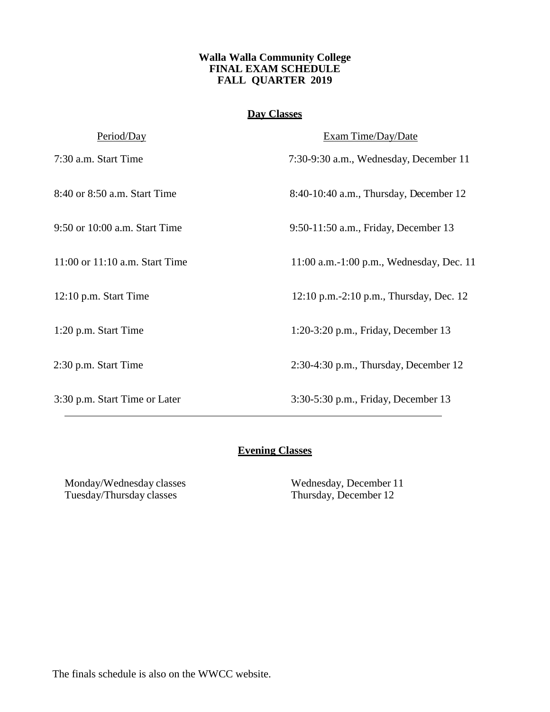#### **Walla Walla Community College FINAL EXAM SCHEDULE FALL QUARTER 2019**

## **Day Classes**

| Period/Day                         | Exam Time/Day/Date                       |
|------------------------------------|------------------------------------------|
| 7:30 a.m. Start Time               | 7:30-9:30 a.m., Wednesday, December 11   |
| 8:40 or 8:50 a.m. Start Time       | 8:40-10:40 a.m., Thursday, December 12   |
| 9:50 or 10:00 a.m. Start Time      | 9:50-11:50 a.m., Friday, December 13     |
| $11:00$ or $11:10$ a.m. Start Time | 11:00 a.m.-1:00 p.m., Wednesday, Dec. 11 |
| $12:10$ p.m. Start Time            | 12:10 p.m.-2:10 p.m., Thursday, Dec. 12  |
| 1:20 p.m. Start Time               | 1:20-3:20 p.m., Friday, December 13      |
| 2:30 p.m. Start Time               | $2:30-4:30$ p.m., Thursday, December 12  |
| 3:30 p.m. Start Time or Later      | 3:30-5:30 p.m., Friday, December 13      |

# **Evening Classes**

Monday/Wednesday classes Wednesday, December 11 Tuesday/Thursday classes Thursday, December 12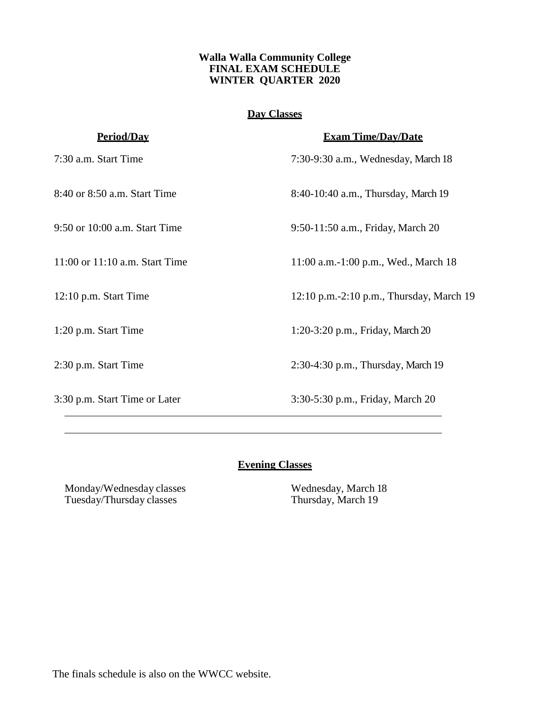#### **Walla Walla Community College FINAL EXAM SCHEDULE WINTER QUARTER 2020**

## **Day Classes**

| <u>Period/Dav</u>              | <b>Exam Time/Day/Date</b>                |
|--------------------------------|------------------------------------------|
| 7:30 a.m. Start Time           | 7:30-9:30 a.m., Wednesday, March 18      |
| 8:40 or 8:50 a.m. Start Time   | 8:40-10:40 a.m., Thursday, March 19      |
| 9:50 or 10:00 a.m. Start Time  | 9:50-11:50 a.m., Friday, March 20        |
| 11:00 or 11:10 a.m. Start Time | 11:00 a.m.-1:00 p.m., Wed., March 18     |
| $12:10$ p.m. Start Time        | 12:10 p.m.-2:10 p.m., Thursday, March 19 |
| 1:20 p.m. Start Time           | 1:20-3:20 p.m., Friday, March 20         |
| 2:30 p.m. Start Time           | 2:30-4:30 p.m., Thursday, March 19       |
| 3:30 p.m. Start Time or Later  | 3:30-5:30 p.m., Friday, March 20         |

## **Evening Classes**

Monday/Wednesday classes Wednesday, March 18<br>Tuesday/Thursday classes Thursday, March 19 Tuesday/Thursday classes